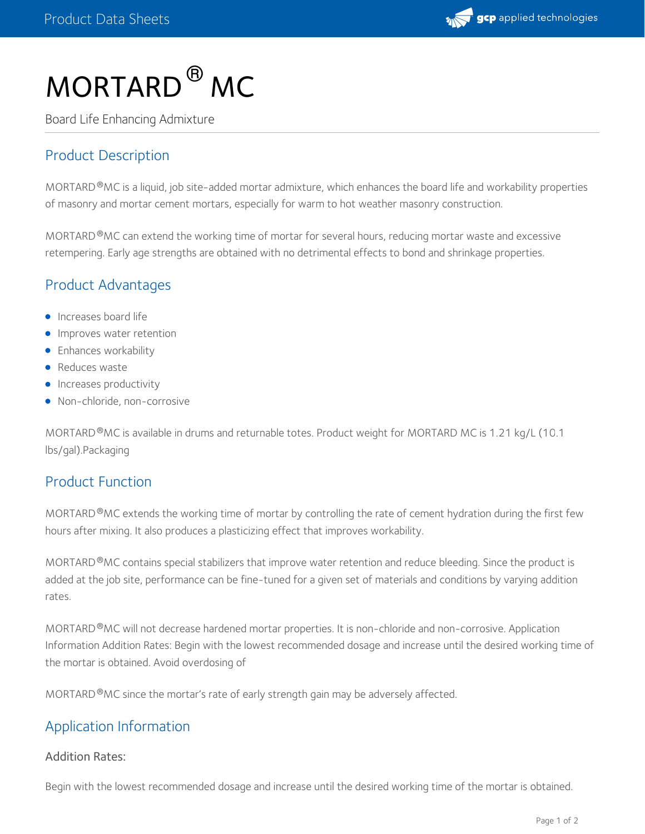

# $MORTARD$ <sup>®</sup>  $MC$

Board Life Enhancing Admixture

# Product Description

MORTARD®MC is a liquid, job site-added mortar admixture, which enhances the board life and workability properties of masonry and mortar cement mortars, especially for warm to hot weather masonry construction.

MORTARD ®MC can extend the working time of mortar for several hours, reducing mortar waste and excessive retempering. Early age strengths are obtained with no detrimental effects to bond and shrinkage properties.

## Product Advantages

- **Increases board life**
- **Improves water retention**
- **•** Enhances workability
- Reduces waste
- **Increases productivity**
- Non-chloride, non-corrosive

MORTARD <sup>®</sup>MC is available in drums and returnable totes. Product weight for MORTARD MC is 1.21 kg/L (10.1 lbs/gal).Packaging

## Product Function

MORTARD  $^\circ$ MC extends the working time of mortar by controlling the rate of cement hydration during the first few hours after mixing. It also produces a plasticizing effect that improves workability.

MORTARD <sup>®</sup>MC contains special stabilizers that improve water retention and reduce bleeding. Since the product is added at the job site, performance can be fine-tuned for a given set of materials and conditions by varying addition rates.

MORTARD <sup>®</sup>MC will not decrease hardened mortar properties. It is non-chloride and non-corrosive. Application Information Addition Rates: Begin with the lowest recommended dosage and increase until the desired working time of the mortar is obtained. Avoid overdosing of

MORTARD  $^{\circledR}$ MC since the mortar's rate of early strength gain may be adversely affected.

## Application Information

#### Addition Rates:

Begin with the lowest recommended dosage and increase until the desired working time of the mortar is obtained.